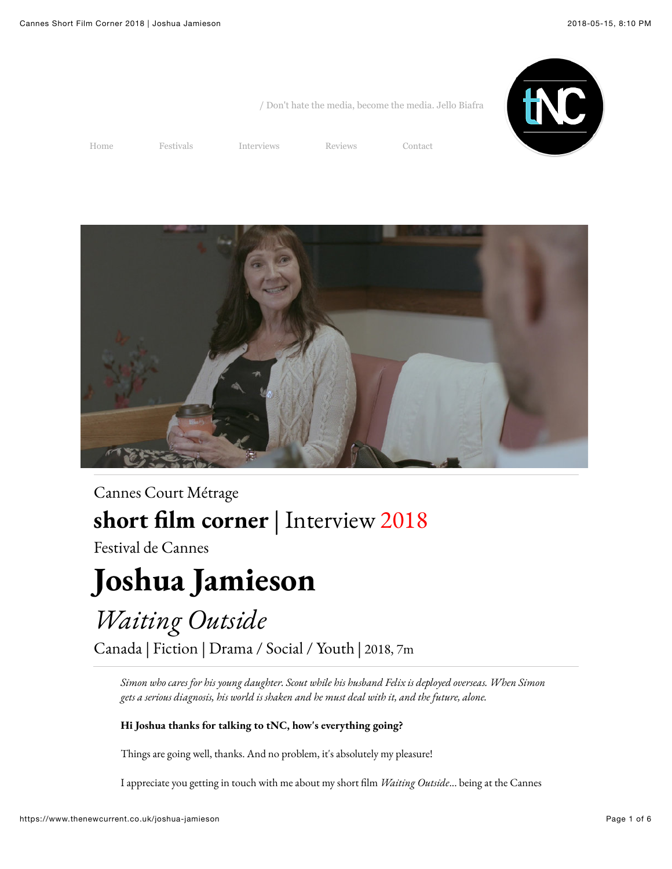

/ Don't hate the media, become the media. Jello Biafra

[Home](https://www.thenewcurrent.co.uk/) [Festivals](https://www.thenewcurrent.co.uk/festivals) [Interviews](https://www.thenewcurrent.co.uk/interviews) [Reviews](https://www.thenewcurrent.co.uk/reviews) [Contact](https://www.thenewcurrent.co.uk/contact)



### [Cannes Court Métrage](http://www.cannescourtmetrage.com/en/short-film-corner/quisommesnous/presentation) **short !lm corner** | Interview 2018

Festival de Cannes

# **Joshua Jamieson**

## *Waiting Outside*

Canada | Fiction | Drama / Social / Youth | 2018, 7m

*Simon who cares for his young daughter. Scout while his husband Felix is deployed overseas. When Simon gets a serious diagnosis, his world is shaken and he must deal with it, and the future, alone.*

#### **Hi Joshua thanks for talking to tNC, how's everything going?**

Things are going well, thanks. And no problem, it's absolutely my pleasure!

I appreciate you getting in touch with me about my short !lm *Waiting Outside*... being at the Cannes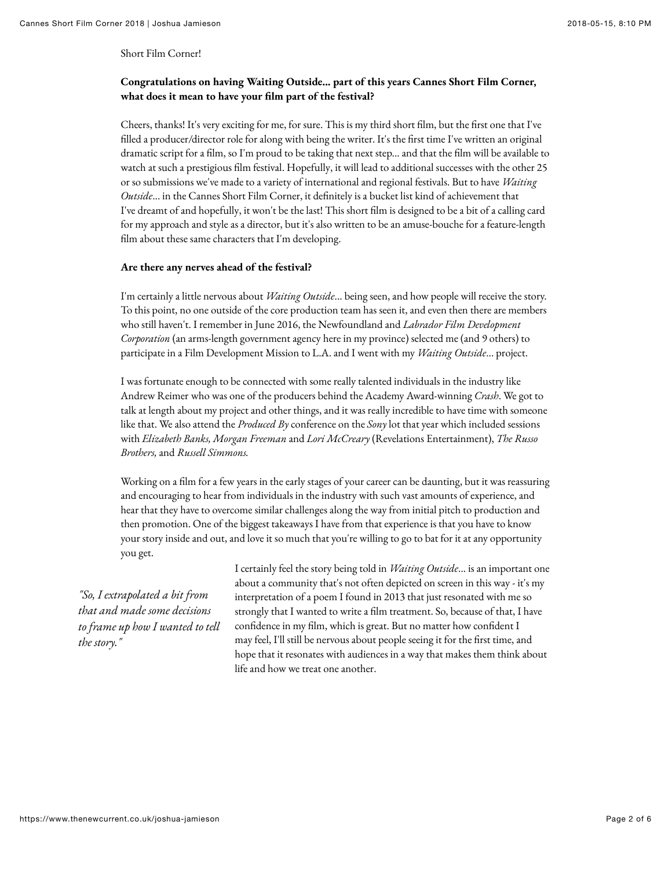Short Film Corner!

#### **Congratulations on having Waiting Outside... part of this years Cannes Short Film Corner, what does it mean to have your !lm part of the festival?**

Cheers, thanks! It's very exciting for me, for sure. This is my third short film, but the first one that I've filled a producer/director role for along with being the writer. It's the first time I've written an original dramatic script for a film, so I'm proud to be taking that next step... and that the film will be available to watch at such a prestigious film festival. Hopefully, it will lead to additional successes with the other 25 or so submissions we've made to a variety of international and regional festivals. But to have *Waiting Outside*... in the Cannes Short Film Corner, it definitely is a bucket list kind of achievement that I've dreamt of and hopefully, it won't be the last! This short film is designed to be a bit of a calling card for my approach and style as a director, but it's also written to be an amuse-bouche for a feature-length film about these same characters that I'm developing.

#### **Are there any nerves ahead of the festival?**

I'm certainly a little nervous about *Waiting Outside*... being seen, and how people will receive the story. To this point, no one outside of the core production team has seen it, and even then there are members who still haven't. I remember in June 2016, the Newfoundland and *Labrador Film Development Corporation* (an arms-length government agency here in my province) selected me (and 9 others) to participate in a Film Development Mission to L.A. and I went with my *Waiting Outside*... project.

I was fortunate enough to be connected with some really talented individuals in the industry like Andrew Reimer who was one of the producers behind the Academy Award-winning *Crash*. We got to talk at length about my project and other things, and it was really incredible to have time with someone like that. We also attend the *Produced By* conference on the *Sony* lot that year which included sessions with *Elizabeth Banks, Morgan Freeman* and *Lori McCreary* (Revelations Entertainment), *The Russo Brothers,* and *Russell Simmons.*

Working on a film for a few years in the early stages of your career can be daunting, but it was reassuring and encouraging to hear from individuals in the industry with such vast amounts of experience, and hear that they have to overcome similar challenges along the way from initial pitch to production and then promotion. One of the biggest takeaways I have from that experience is that you have to know your story inside and out, and love it so much that you're willing to go to bat for it at any opportunity you get.

*"So, I extrapolated a bit from that and made some decisions to frame up how I wanted to tell the story."*

I certainly feel the story being told in *Waiting Outside*... is an important one about a community that's not often depicted on screen in this way - it's my interpretation of a poem I found in 2013 that just resonated with me so strongly that I wanted to write a film treatment. So, because of that, I have confidence in my film, which is great. But no matter how confident I may feel, I'll still be nervous about people seeing it for the first time, and hope that it resonates with audiences in a way that makes them think about life and how we treat one another.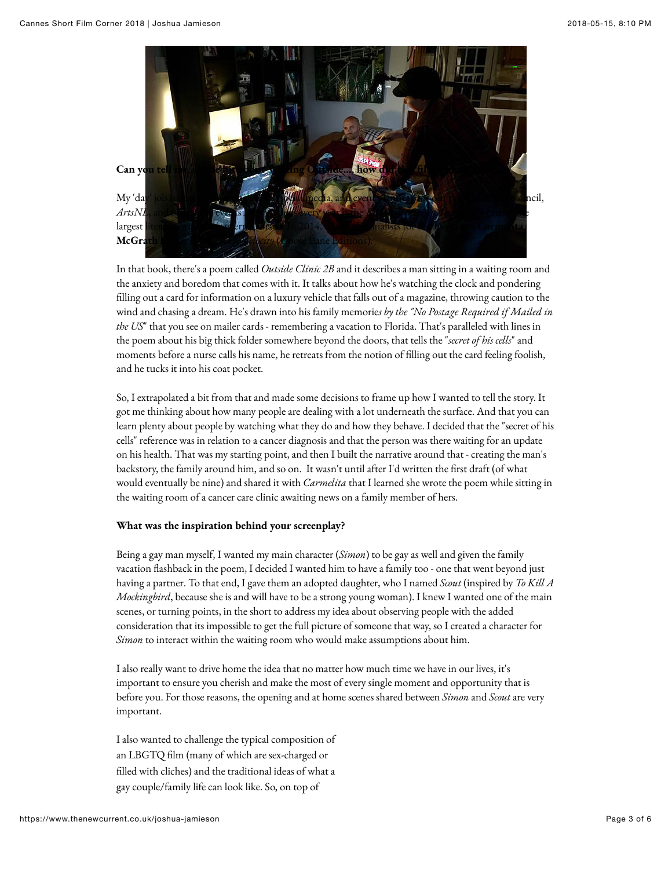

In that book, there's a poem called *Outside Clinic 2B* and it describes a man sitting in a waiting room and the anxiety and boredom that comes with it. It talks about how he's watching the clock and pondering filling out a card for information on a luxury vehicle that falls out of a magazine, throwing caution to the wind and chasing a dream. He's drawn into his family memorie*s by the "No Postage Required if Mailed in the US*" that you see on mailer cards - remembering a vacation to Florida. That's paralleled with lines in the poem about his big thick folder somewhere beyond the doors, that tells the "*secret of his cells*" and moments before a nurse calls his name, he retreats from the notion of filling out the card feeling foolish, and he tucks it into his coat pocket.

So, I extrapolated a bit from that and made some decisions to frame up how I wanted to tell the story. It got me thinking about how many people are dealing with a lot underneath the surface. And that you can learn plenty about people by watching what they do and how they behave. I decided that the "secret of his cells" reference was in relation to a cancer diagnosis and that the person was there waiting for an update on his health. That was my starting point, and then I built the narrative around that - creating the man's backstory, the family around him, and so on. It wasn't until after I'd written the first draft (of what would eventually be nine) and shared it with *Carmelita* that I learned she wrote the poem while sitting in the waiting room of a cancer care clinic awaiting news on a family member of hers.

#### **What was the inspiration behind your screenplay?**

Being a gay man myself, I wanted my main character (*Simon*) to be gay as well and given the family vacation flashback in the poem, I decided I wanted him to have a family too - one that went beyond just having a partner. To that end, I gave them an adopted daughter, who I named *Scout* (inspired by *To Kill A Mockingbird*, because she is and will have to be a strong young woman). I knew I wanted one of the main scenes, or turning points, in the short to address my idea about observing people with the added consideration that its impossible to get the full picture of someone that way, so I created a character for *Simon* to interact within the waiting room who would make assumptions about him.

I also really want to drive home the idea that no matter how much time we have in our lives, it's important to ensure you cherish and make the most of every single moment and opportunity that is before you. For those reasons, the opening and at home scenes shared between *Simon* and *Scout* are very important.

I also wanted to challenge the typical composition of an LBGTQ film (many of which are sex-charged or filled with cliches) and the traditional ideas of what a gay couple/family life can look like. So, on top of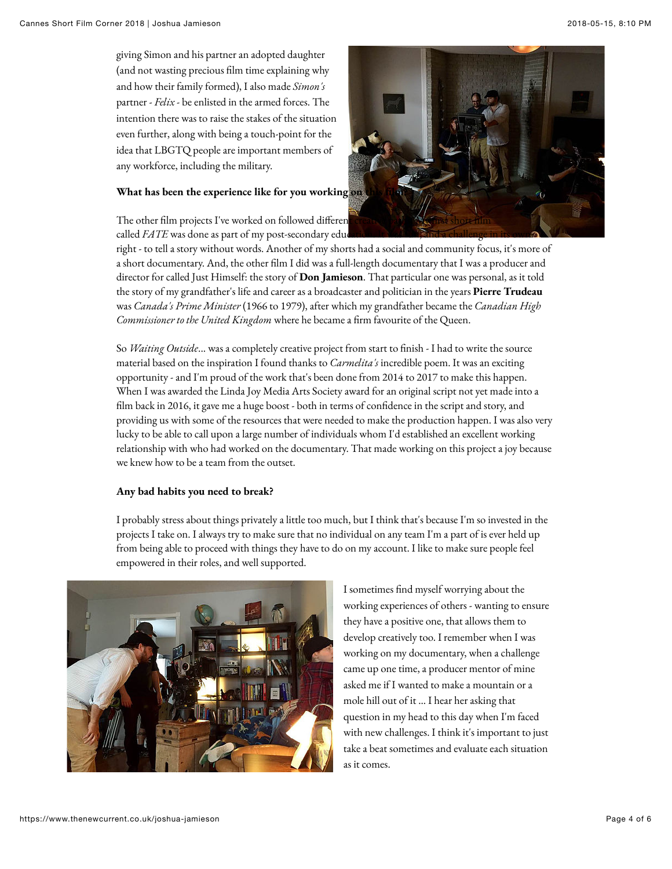giving Simon and his partner an adopted daughter (and not wasting precious film time explaining why and how their family formed), I also made *Simon's* partner - *Felix* - be enlisted in the armed forces. The intention there was to raise the stakes of the situation even further, along with being a touch-point for the idea that LBGTQ people are important members of any workforce, including the military.

#### **What has been the experience like for you working on**

The other film projects I've worked on followed different called *FATE* was done as part of my post-secondary educ



right - to tell a story without words. Another of my shorts had a social and community focus, it's more of a short documentary. And, the other film I did was a full-length documentary that I was a producer and director for called Just Himself: the story of **Don Jamieson**. That particular one was personal, as it told the story of my grandfather's life and career as a broadcaster and politician in the years **Pierre Trudeau** was *Canada's Prime Minister* (1966 to 1979), after which my grandfather became the *Canadian High Commissioner to the United Kingdom* where he became a firm favourite of the Queen.

So *Waiting Outside...* was a completely creative project from start to finish - I had to write the source material based on the inspiration I found thanks to *Carmelita's* incredible poem. It was an exciting opportunity - and I'm proud of the work that's been done from 2014 to 2017 to make this happen. When I was awarded the Linda Joy Media Arts Society award for an original script not yet made into a film back in 2016, it gave me a huge boost - both in terms of confidence in the script and story, and providing us with some of the resources that were needed to make the production happen. I was also very lucky to be able to call upon a large number of individuals whom I'd established an excellent working relationship with who had worked on the documentary. That made working on this project a joy because we knew how to be a team from the outset.

#### **Any bad habits you need to break?**

I probably stress about things privately a little too much, but I think that's because I'm so invested in the projects I take on. I always try to make sure that no individual on any team I'm a part of is ever held up from being able to proceed with things they have to do on my account. I like to make sure people feel empowered in their roles, and well supported.



I sometimes find myself worrying about the working experiences of others - wanting to ensure they have a positive one, that allows them to develop creatively too. I remember when I was working on my documentary, when a challenge came up one time, a producer mentor of mine asked me if I wanted to make a mountain or a mole hill out of it ... I hear her asking that question in my head to this day when I'm faced with new challenges. I think it's important to just take a beat sometimes and evaluate each situation as it comes.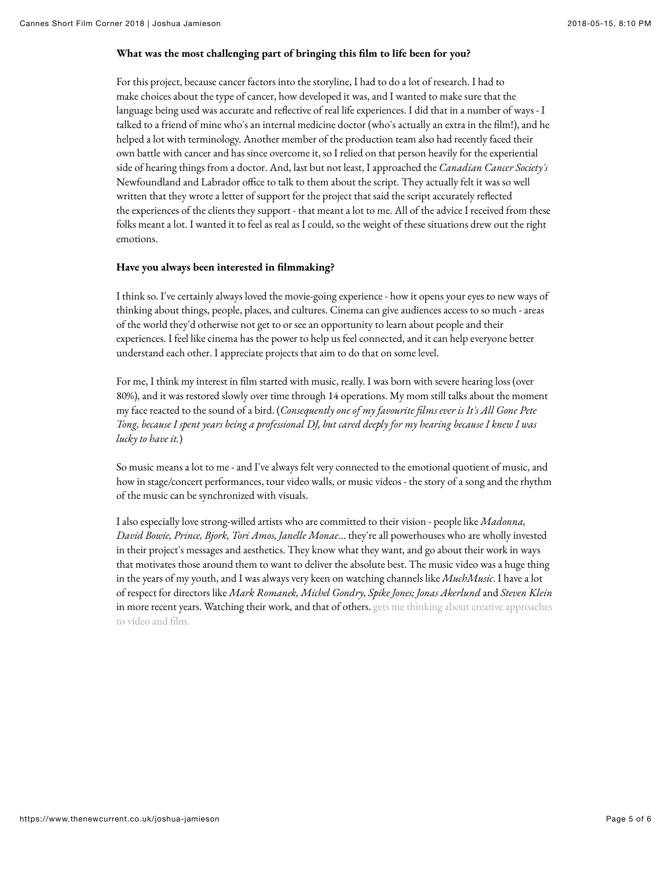#### **What was the most challenging part of bringing this !lm to life been for you?**

For this project, because cancer factors into the storyline, I had to do a lot of research. I had to make choices about the type of cancer, how developed it was, and I wanted to make sure that the language being used was accurate and reflective of real life experiences. I did that in a number of ways - I talked to a friend of mine who's an internal medicine doctor (who's actually an extra in the film!), and he helped a lot with terminology. Another member of the production team also had recently faced their own battle with cancer and has since overcome it, so I relied on that person heavily for the experiential side of hearing things from a doctor. And, last but not least, I approached the *Canadian Cancer Society's* Newfoundland and Labrador office to talk to them about the script. They actually felt it was so well written that they wrote a letter of support for the project that said the script accurately reflected the experiences of the clients they support - that meant a lot to me. All of the advice I received from these folks meant a lot. I wanted it to feel as real as I could, so the weight of these situations drew out the right emotions.

#### **Have you always been interested in !lmmaking?**

I think so. I've certainly always loved the movie-going experience - how it opens your eyes to new ways of thinking about things, people, places, and cultures. Cinema can give audiences access to so much - areas of the world they'd otherwise not get to or see an opportunity to learn about people and their experiences. I feel like cinema has the power to help us feel connected, and it can help everyone better understand each other. I appreciate projects that aim to do that on some level.

For me, I think my interest in film started with music, really. I was born with severe hearing loss (over 80%), and it was restored slowly over time through 14 operations. My mom still talks about the moment my face reacted to the sound of a bird. (*Consequently one of my favourite films ever is It's All Gone Pete Tong, because I spent years being a professional DJ, but cared deeply for my hearing because I knew I was lucky to have it.*)

So music means a lot to me - and I've always felt very connected to the emotional quotient of music, and how in stage/concert performances, tour video walls, or music videos - the story of a song and the rhythm of the music can be synchronized with visuals.

I also especially love strong-willed artists who are committed to their vision - people like *Madonna, David Bowie, Prince, Bjork, Tori Amos, Janelle Monae*... they're all powerhouses who are wholly invested in their project's messages and aesthetics. They know what they want, and go about their work in ways that motivates those around them to want to deliver the absolute best. The music video was a huge thing in the years of my youth, and I was always very keen on watching channels like *MuchMusic*. I have a lot of respect for directors like *Mark Romanek, Michel Gondry, Spike Jones; Jonas Akerlund* and *Steven Klein* in more recent years. Watching their work, and that of others. gets me thinking about creative approaches to video and film.